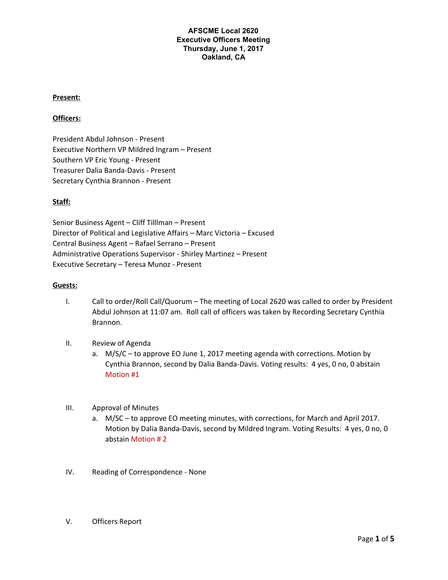#### **Present:**

#### **Officers:**

President Abdul Johnson - Present Executive Northern VP Mildred Ingram – Present Southern VP Eric Young - Present Treasurer Dalia Banda-Davis - Present Secretary Cynthia Brannon - Present

## **Staff:**

Senior Business Agent – Cliff Tilllman – Present Director of Political and Legislative Affairs – Marc Victoria – Excused Central Business Agent – Rafael Serrano – Present Administrative Operations Supervisor - Shirley Martinez – Present Executive Secretary – Teresa Munoz - Present

#### **Guests:**

- I. Call to order/Roll Call/Quorum The meeting of Local 2620 was called to order by President Abdul Johnson at 11:07 am. Roll call of officers was taken by Recording Secretary Cynthia Brannon.
- II. Review of Agenda
	- a. M/S/C to approve EO June 1, 2017 meeting agenda with corrections. Motion by Cynthia Brannon, second by Dalia Banda-Davis. Voting results: 4 yes, 0 no, 0 abstain Motion #1
- III. Approval of Minutes
	- a. M/SC to approve EO meeting minutes, with corrections, for March and April 2017. Motion by Dalia Banda-Davis, second by Mildred Ingram. Voting Results: 4 yes, 0 no, 0 abstain Motion # 2
- IV. Reading of Correspondence None
- V. Officers Report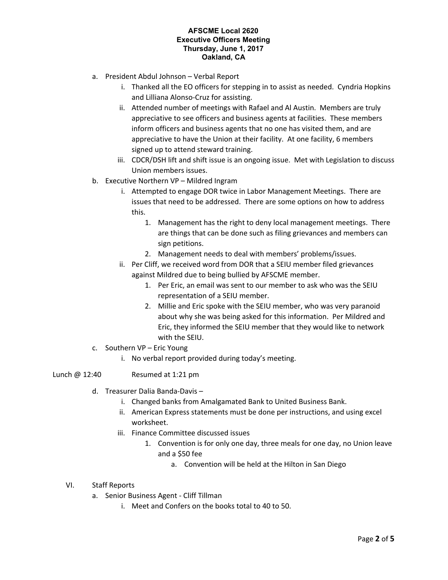- a. President Abdul Johnson Verbal Report
	- i. Thanked all the EO officers for stepping in to assist as needed. Cyndria Hopkins and Lilliana Alonso-Cruz for assisting.
	- ii. Attended number of meetings with Rafael and Al Austin. Members are truly appreciative to see officers and business agents at facilities. These members inform officers and business agents that no one has visited them, and are appreciative to have the Union at their facility. At one facility, 6 members signed up to attend steward training.
	- iii. CDCR/DSH lift and shift issue is an ongoing issue. Met with Legislation to discuss Union members issues.
- b. Executive Northern VP Mildred Ingram
	- i. Attempted to engage DOR twice in Labor Management Meetings. There are issues that need to be addressed. There are some options on how to address this.
		- 1. Management has the right to deny local management meetings. There are things that can be done such as filing grievances and members can sign petitions.
		- 2. Management needs to deal with members' problems/issues.
	- ii. Per Cliff, we received word from DOR that a SEIU member filed grievances against Mildred due to being bullied by AFSCME member.
		- 1. Per Eric, an email was sent to our member to ask who was the SEIU representation of a SEIU member.
		- 2. Millie and Eric spoke with the SEIU member, who was very paranoid about why she was being asked for this information. Per Mildred and Eric, they informed the SEIU member that they would like to network with the SEIU.
- c. Southern VP Eric Young
	- i. No verbal report provided during today's meeting.
- Lunch @ 12:40 Resumed at 1:21 pm
	- d. Treasurer Dalia Banda-Davis
		- i. Changed banks from Amalgamated Bank to United Business Bank.
		- ii. American Express statements must be done per instructions, and using excel worksheet.
		- iii. Finance Committee discussed issues
			- 1. Convention is for only one day, three meals for one day, no Union leave and a \$50 fee
				- a. Convention will be held at the Hilton in San Diego
	- VI. Staff Reports
		- a. Senior Business Agent Cliff Tillman
			- i. Meet and Confers on the books total to 40 to 50.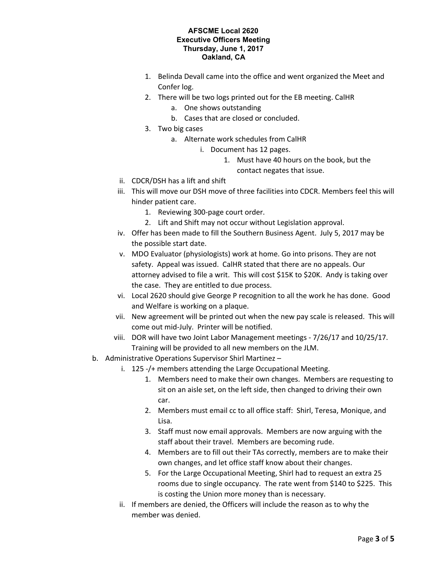- 1. Belinda Devall came into the office and went organized the Meet and Confer log.
- 2. There will be two logs printed out for the EB meeting. CalHR
	- a. One shows outstanding
	- b. Cases that are closed or concluded.
- 3. Two big cases
	- a. Alternate work schedules from CalHR
		- i. Document has 12 pages.
			- 1. Must have 40 hours on the book, but the contact negates that issue.
- ii. CDCR/DSH has a lift and shift
- iii. This will move our DSH move of three facilities into CDCR. Members feel this will hinder patient care.
	- 1. Reviewing 300-page court order.
	- 2. Lift and Shift may not occur without Legislation approval.
- iv. Offer has been made to fill the Southern Business Agent. July 5, 2017 may be the possible start date.
- v. MDO Evaluator (physiologists) work at home. Go into prisons. They are not safety. Appeal was issued. CalHR stated that there are no appeals. Our attorney advised to file a writ. This will cost \$15K to \$20K. Andy is taking over the case. They are entitled to due process.
- vi. Local 2620 should give George P recognition to all the work he has done. Good and Welfare is working on a plaque.
- vii. New agreement will be printed out when the new pay scale is released. This will come out mid-July. Printer will be notified.
- viii. DOR will have two Joint Labor Management meetings 7/26/17 and 10/25/17. Training will be provided to all new members on the JLM.
- b. Administrative Operations Supervisor Shirl Martinez
	- i. 125 -/+ members attending the Large Occupational Meeting.
		- 1. Members need to make their own changes. Members are requesting to sit on an aisle set, on the left side, then changed to driving their own car.
		- 2. Members must email cc to all office staff: Shirl, Teresa, Monique, and Lisa.
		- 3. Staff must now email approvals. Members are now arguing with the staff about their travel. Members are becoming rude.
		- 4. Members are to fill out their TAs correctly, members are to make their own changes, and let office staff know about their changes.
		- 5. For the Large Occupational Meeting, Shirl had to request an extra 25 rooms due to single occupancy. The rate went from \$140 to \$225. This is costing the Union more money than is necessary.
	- ii. If members are denied, the Officers will include the reason as to why the member was denied.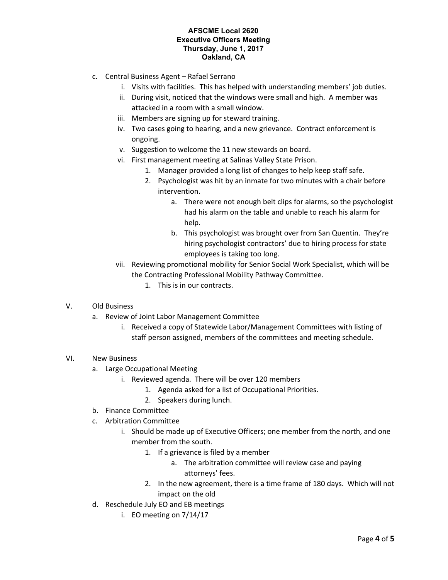- c. Central Business Agent Rafael Serrano
	- i. Visits with facilities. This has helped with understanding members' job duties.
	- ii. During visit, noticed that the windows were small and high. A member was attacked in a room with a small window.
	- iii. Members are signing up for steward training.
	- iv. Two cases going to hearing, and a new grievance. Contract enforcement is ongoing.
	- v. Suggestion to welcome the 11 new stewards on board.
	- vi. First management meeting at Salinas Valley State Prison.
		- 1. Manager provided a long list of changes to help keep staff safe.
		- 2. Psychologist was hit by an inmate for two minutes with a chair before intervention.
			- a. There were not enough belt clips for alarms, so the psychologist had his alarm on the table and unable to reach his alarm for help.
			- b. This psychologist was brought over from San Quentin. They're hiring psychologist contractors' due to hiring process for state employees is taking too long.
	- vii. Reviewing promotional mobility for Senior Social Work Specialist, which will be the Contracting Professional Mobility Pathway Committee.
		- 1. This is in our contracts.
- V. Old Business
	- a. Review of Joint Labor Management Committee
		- i. Received a copy of Statewide Labor/Management Committees with listing of staff person assigned, members of the committees and meeting schedule.
- VI. New Business
	- a. Large Occupational Meeting
		- i. Reviewed agenda. There will be over 120 members
			- 1. Agenda asked for a list of Occupational Priorities.
			- 2. Speakers during lunch.
	- b. Finance Committee
	- c. Arbitration Committee
		- i. Should be made up of Executive Officers; one member from the north, and one member from the south.
			- 1. If a grievance is filed by a member
				- a. The arbitration committee will review case and paying attorneys' fees.
			- 2. In the new agreement, there is a time frame of 180 days. Which will not impact on the old
	- d. Reschedule July EO and EB meetings
		- i. EO meeting on 7/14/17